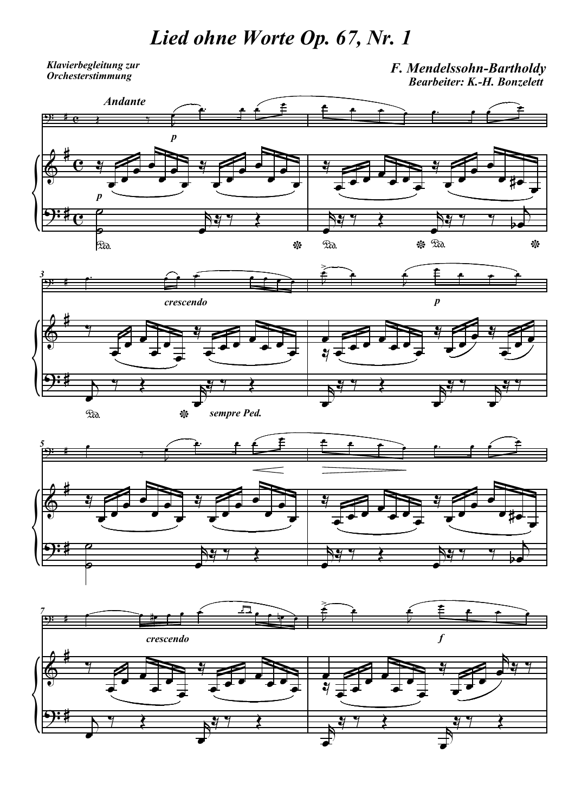## Lied ohne Worte Op. 67, Nr. 1

Klavierbegleitung zur **Orchesterstimmung** 

F. Mendelssohn-Bartholdy Bearbeiter: K.-H. Bonzelett

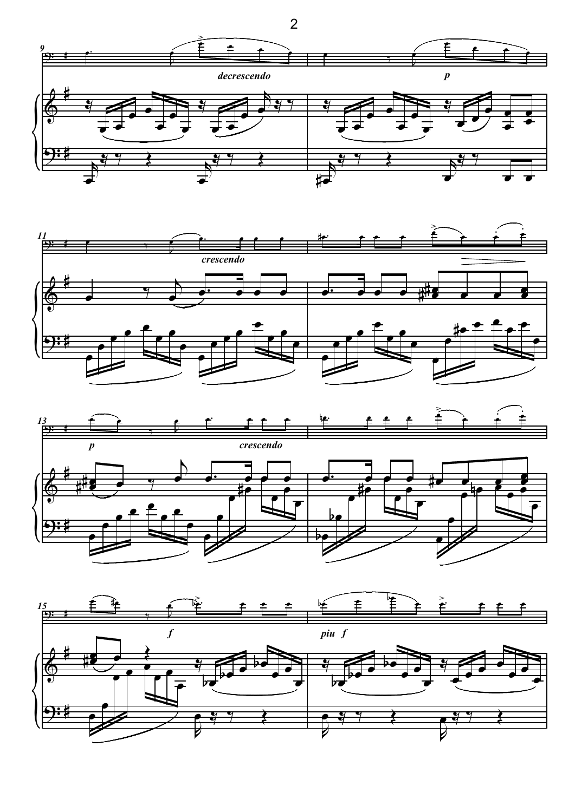







2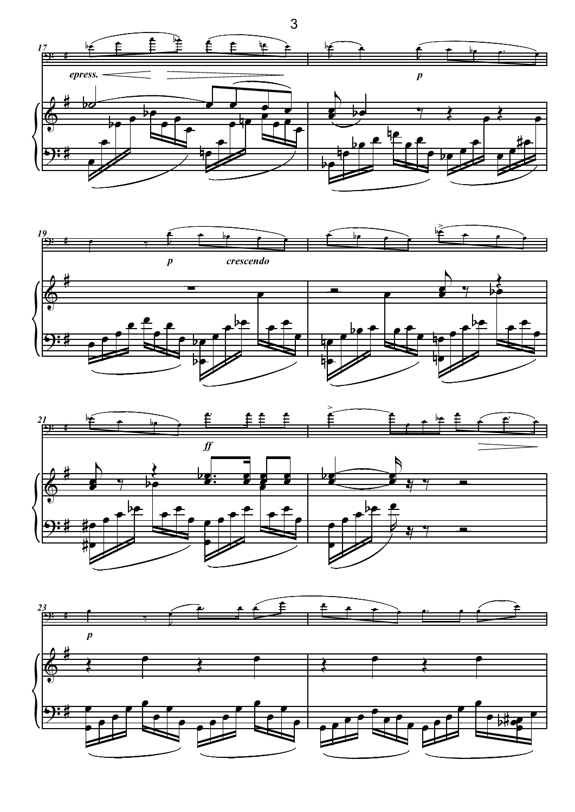







3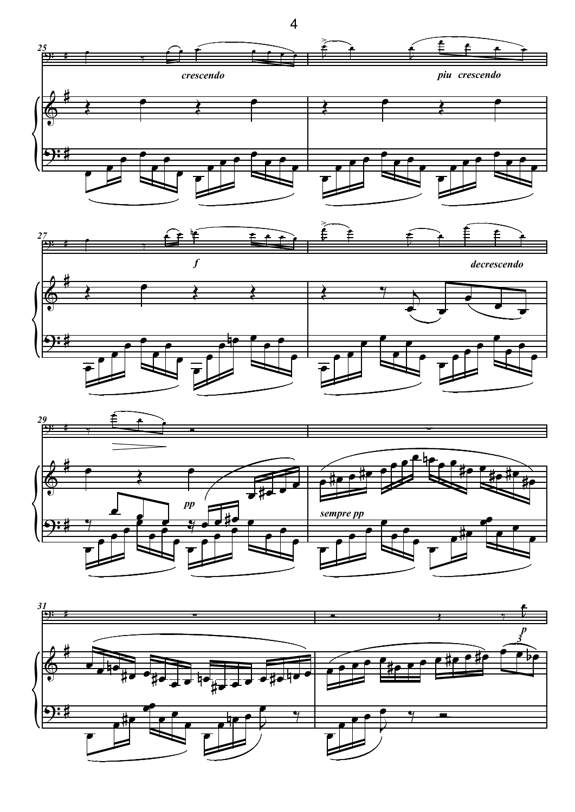